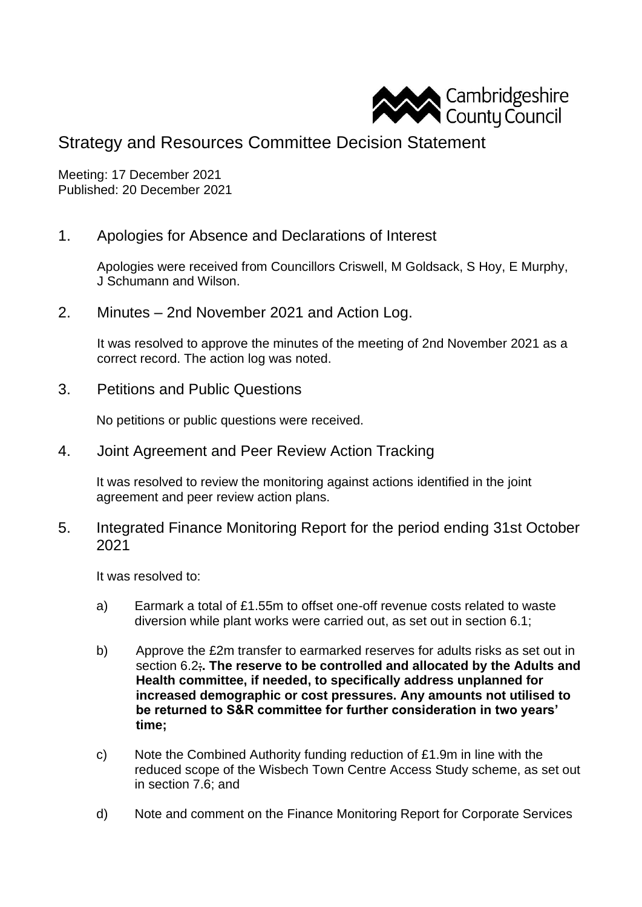

## Strategy and Resources Committee Decision Statement

Meeting: 17 December 2021 Published: 20 December 2021

1. Apologies for Absence and Declarations of Interest

Apologies were received from Councillors Criswell, M Goldsack, S Hoy, E Murphy, J Schumann and Wilson.

2. Minutes – 2nd November 2021 and Action Log.

It was resolved to approve the minutes of the meeting of 2nd November 2021 as a correct record. The action log was noted.

3. Petitions and Public Questions

No petitions or public questions were received.

4. Joint Agreement and Peer Review Action Tracking

It was resolved to review the monitoring against actions identified in the joint agreement and peer review action plans.

5. Integrated Finance Monitoring Report for the period ending 31st October 2021

It was resolved to:

- a) Earmark a total of £1.55m to offset one-off revenue costs related to waste diversion while plant works were carried out, as set out in section 6.1;
- b) Approve the £2m transfer to earmarked reserves for adults risks as set out in section 6.2;**. The reserve to be controlled and allocated by the Adults and Health committee, if needed, to specifically address unplanned for increased demographic or cost pressures. Any amounts not utilised to be returned to S&R committee for further consideration in two years' time;**
- c) Note the Combined Authority funding reduction of £1.9m in line with the reduced scope of the Wisbech Town Centre Access Study scheme, as set out in section 7.6; and
- d) Note and comment on the Finance Monitoring Report for Corporate Services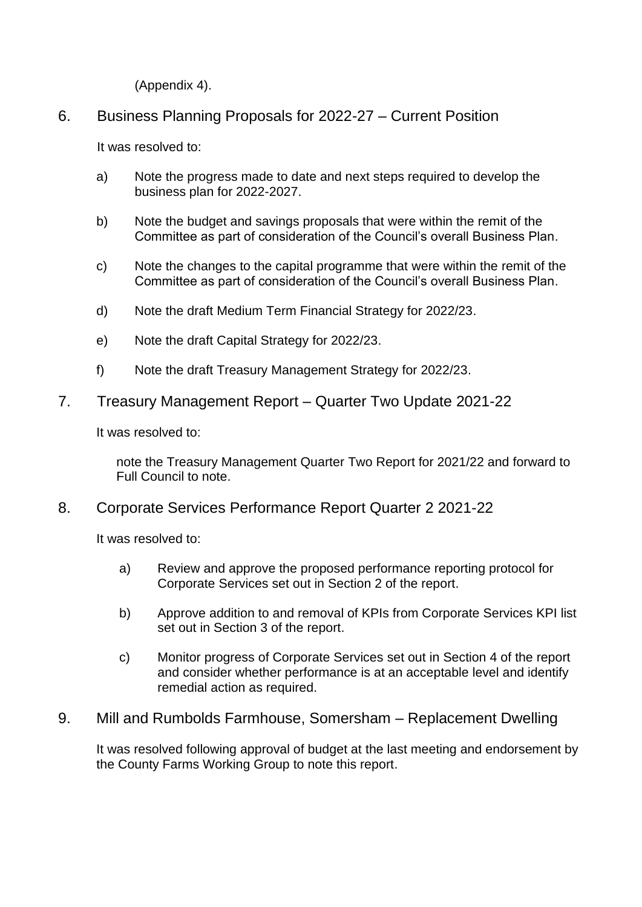(Appendix 4).

6. Business Planning Proposals for 2022-27 – Current Position

It was resolved to:

- a) Note the progress made to date and next steps required to develop the business plan for 2022-2027.
- b) Note the budget and savings proposals that were within the remit of the Committee as part of consideration of the Council's overall Business Plan.
- c) Note the changes to the capital programme that were within the remit of the Committee as part of consideration of the Council's overall Business Plan.
- d) Note the draft Medium Term Financial Strategy for 2022/23.
- e) Note the draft Capital Strategy for 2022/23.
- f) Note the draft Treasury Management Strategy for 2022/23.
- 7. Treasury Management Report Quarter Two Update 2021-22

It was resolved to:

note the Treasury Management Quarter Two Report for 2021/22 and forward to Full Council to note.

8. Corporate Services Performance Report Quarter 2 2021-22

It was resolved to:

- a) Review and approve the proposed performance reporting protocol for Corporate Services set out in Section 2 of the report.
- b) Approve addition to and removal of KPIs from Corporate Services KPI list set out in Section 3 of the report.
- c) Monitor progress of Corporate Services set out in Section 4 of the report and consider whether performance is at an acceptable level and identify remedial action as required.
- 9. Mill and Rumbolds Farmhouse, Somersham Replacement Dwelling

It was resolved following approval of budget at the last meeting and endorsement by the County Farms Working Group to note this report.